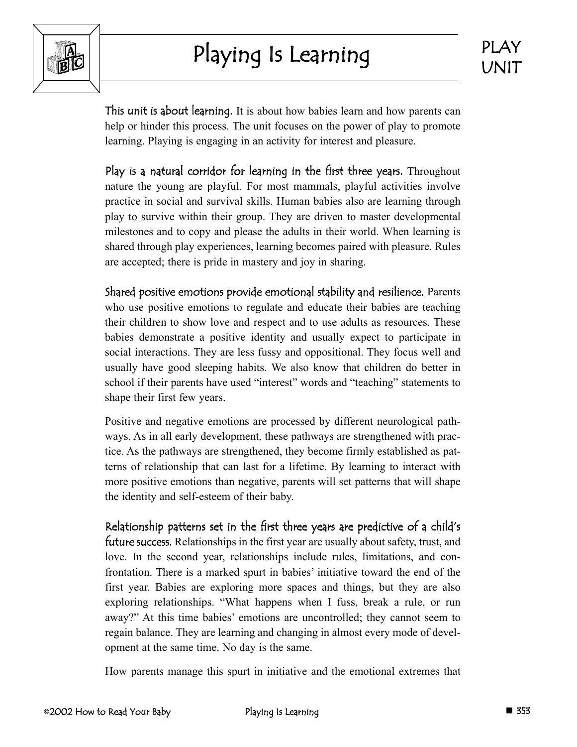

This unit is about learning. It is about how babies learn and how parents can help or hinder this process. The unit focuses on the power of play to promote learning. Playing is engaging in an activity for interest and pleasure.

Play is a natural corridor for learning in the first three years. Throughout nature the young are playful. For most mammals, playful activities involve practice in social and survival skills. Human babies also are learning through play to survive within their group. They are driven to master developmental milestones and to copy and please the adults in their world. When learning is shared through play experiences, learning becomes paired with pleasure. Rules are accepted; there is pride in mastery and joy in sharing.

Shared positive emotions provide emotional stability and resilience. Parents who use positive emotions to regulate and educate their babies are teaching their children to show love and respect and to use adults as resources. These babies demonstrate a positive identity and usually expect to participate in social interactions. They are less fussy and oppositional. They focus well and usually have good sleeping habits. We also know that children do better in school if their parents have used "interest" words and "teaching" statements to shape their first few years.

Positive and negative emotions are processed by different neurological pathways. As in all early development, these pathways are strengthened with practice. As the pathways are strengthened, they become firmly established as patterns of relationship that can last for a lifetime. By learning to interact with more positive emotions than negative, parents will set patterns that will shape the identity and self-esteem of their baby.

Relationship patterns set in the first three years are predictive of a child's future success. Relationships in the first year are usually about safety, trust, and love. In the second year, relationships include rules, limitations, and confrontation. There is a marked spurt in babies' initiative toward the end of the first year. Babies are exploring more spaces and things, but they are also exploring relationships. "What happens when I fuss, break a rule, or run away?" At this time babies' emotions are uncontrolled; they cannot seem to regain balance. They are learning and changing in almost every mode of development at the same time. No day is the same.

How parents manage this spurt in initiative and the emotional extremes that